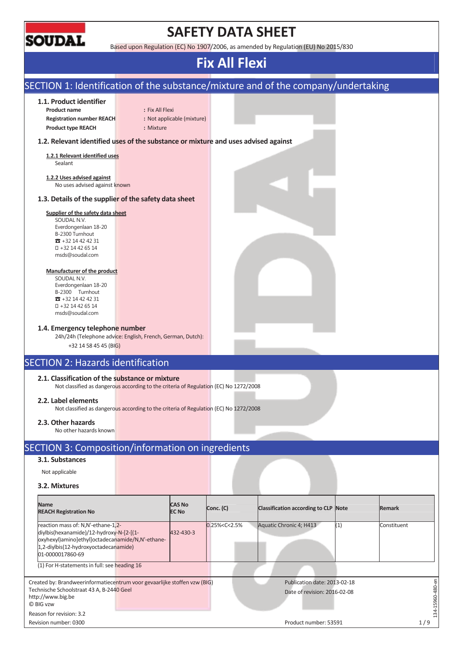

### **SAFETY DATA SHEET**

Based upon Regulation (EC) No 1907/2006, as amended by Regulation (EU) No 2015/830

| SECTION 1: Identification of the substance/mixture and of the company/undertaking                                                                                                               |                                                                                       |                                      |                                                              |                  |
|-------------------------------------------------------------------------------------------------------------------------------------------------------------------------------------------------|---------------------------------------------------------------------------------------|--------------------------------------|--------------------------------------------------------------|------------------|
| 1.1. Product identifier                                                                                                                                                                         |                                                                                       |                                      |                                                              |                  |
| <b>Product name</b>                                                                                                                                                                             | : Fix All Flexi                                                                       |                                      |                                                              |                  |
| <b>Registration number REACH</b><br><b>Product type REACH</b>                                                                                                                                   | : Not applicable (mixture)<br>: Mixture                                               |                                      |                                                              |                  |
| 1.2. Relevant identified uses of the substance or mixture and uses advised against                                                                                                              |                                                                                       |                                      |                                                              |                  |
| 1.2.1 Relevant identified uses                                                                                                                                                                  |                                                                                       |                                      |                                                              |                  |
| Sealant                                                                                                                                                                                         |                                                                                       |                                      |                                                              |                  |
| 1.2.2 Uses advised against<br>No uses advised against known                                                                                                                                     |                                                                                       |                                      |                                                              |                  |
| 1.3. Details of the supplier of the safety data sheet                                                                                                                                           |                                                                                       |                                      |                                                              |                  |
| Supplier of the safety data sheet<br>SOUDAL N.V.<br>Everdongenlaan 18-20<br>B-2300 Turnhout                                                                                                     |                                                                                       |                                      |                                                              |                  |
| $32 + 3214424231$<br>+32 14 42 65 14<br>msds@soudal.com                                                                                                                                         |                                                                                       |                                      |                                                              |                  |
| Manufacturer of the product<br>SOUDAL N.V.<br>Everdongenlaan 18-20<br>B-2300 Turnhout<br>$31 + 3214424231$<br>+32 14 42 65 14<br>msds@soudal.com                                                |                                                                                       |                                      |                                                              |                  |
| 1.4. Emergency telephone number<br>24h/24h (Telephone advice: English, French, German, Dutch):<br>+32 14 58 45 45 (BIG)                                                                         |                                                                                       |                                      |                                                              |                  |
| <b>SECTION 2: Hazards identification</b>                                                                                                                                                        |                                                                                       |                                      |                                                              |                  |
| 2.1. Classification of the substance or mixture                                                                                                                                                 | Not classified as dangerous according to the criteria of Regulation (EC) No 1272/2008 |                                      |                                                              |                  |
| 2.2. Label elements                                                                                                                                                                             | Not classified as dangerous according to the criteria of Regulation (EC) No 1272/2008 |                                      |                                                              |                  |
| 2.3. Other hazards<br>No other hazards known                                                                                                                                                    |                                                                                       |                                      |                                                              |                  |
| SECTION 3: Composition/information on ingredients                                                                                                                                               |                                                                                       |                                      |                                                              |                  |
| 3.1. Substances                                                                                                                                                                                 |                                                                                       |                                      |                                                              |                  |
| Not applicable                                                                                                                                                                                  |                                                                                       |                                      |                                                              |                  |
| 3.2. Mixtures                                                                                                                                                                                   |                                                                                       |                                      |                                                              |                  |
| <b>Name</b><br><b>REACH Registration No</b>                                                                                                                                                     | <b>CAS No</b><br>Conc. (C)<br><b>EC No</b>                                            | Classification according to CLP Note |                                                              | <b>Remark</b>    |
| reaction mass of: N,N'-ethane-1,2-<br>diylbis(hexanamide)/12-hydroxy-N-[2-[(1-<br>oxyhexyl)amino]ethyl]octadecanamide/N,N'-ethane-<br>1,2-diylbis(12-hydroxyoctadecanamide)<br>01-0000017860-69 | 0.25% < C < 2.5%<br>432-430-3                                                         | Aquatic Chronic 4; H413              | (1)                                                          | Constituent      |
| (1) For H-statements in full: see heading 16                                                                                                                                                    |                                                                                       |                                      |                                                              |                  |
| Created by: Brandweerinformatiecentrum voor gevaarlijke stoffen vzw (BIG)<br>Technische Schoolstraat 43 A, B-2440 Geel<br>http://www.big.be                                                     |                                                                                       |                                      | Publication date: 2013-02-18<br>Date of revision: 2016-02-08 | L34-15960-480-en |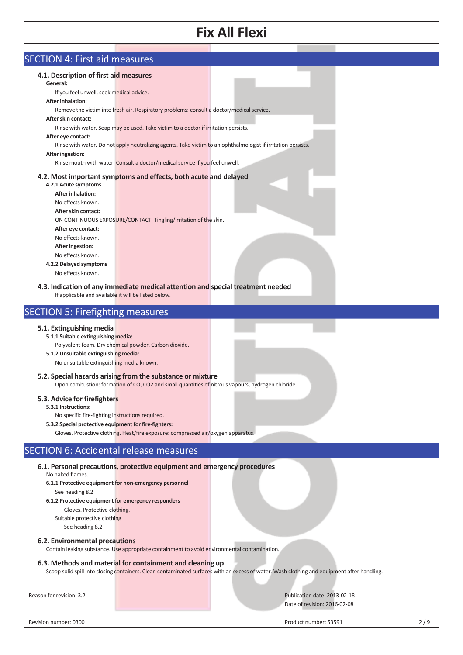| <b>SECTION 4: First aid measures</b>                                                                                                                                                                                                                                                                                                                                                                                                  |                                                                                                                                                                                                                                                                                                                                                                                                                                                                                                                                                                                                              |
|---------------------------------------------------------------------------------------------------------------------------------------------------------------------------------------------------------------------------------------------------------------------------------------------------------------------------------------------------------------------------------------------------------------------------------------|--------------------------------------------------------------------------------------------------------------------------------------------------------------------------------------------------------------------------------------------------------------------------------------------------------------------------------------------------------------------------------------------------------------------------------------------------------------------------------------------------------------------------------------------------------------------------------------------------------------|
| 4.1. Description of first aid measures<br>General:<br>If you feel unwell, seek medical advice.<br><b>After inhalation:</b><br>After skin contact:<br>After eye contact:<br><b>After ingestion:</b><br>4.2.1 Acute symptoms<br><b>After inhalation:</b><br>No effects known.<br>After skin contact:<br>After eye contact:<br>No effects known.<br>After ingestion:<br>No effects known.<br>4.2.2 Delayed symptoms<br>No effects known. | Remove the victim into fresh air. Respiratory problems: consult a doctor/medical service.<br>Rinse with water. Soap may be used. Take victim to a doctor if irritation persists.<br>Rinse with water. Do not apply neutralizing agents. Take victim to an ophthalmologist if irritation persists.<br>Rinse mouth with water. Consult a doctor/medical service if you feel unwell.<br>4.2. Most important symptoms and effects, both acute and delayed<br>ON CONTINUOUS EXPOSURE/CONTACT: Tingling/irritation of the skin.<br>4.3. Indication of any immediate medical attention and special treatment needed |
| If applicable and available it will be listed below.                                                                                                                                                                                                                                                                                                                                                                                  |                                                                                                                                                                                                                                                                                                                                                                                                                                                                                                                                                                                                              |
| <b>SECTION 5: Firefighting measures</b>                                                                                                                                                                                                                                                                                                                                                                                               |                                                                                                                                                                                                                                                                                                                                                                                                                                                                                                                                                                                                              |
| 5.1. Extinguishing media<br>5.1.1 Suitable extinguishing media:<br>5.1.2 Unsuitable extinguishing media:<br>No unsuitable extinguishing media known.<br>5.3. Advice for firefighters<br>5.3.1 Instructions:<br>No specific fire-fighting instructions required.<br>5.3.2 Special protective equipment for fire-fighters:                                                                                                              | Polyvalent foam. Dry chemical powder. Carbon dioxide.<br>5.2. Special hazards arising from the substance or mixture<br>Upon combustion: formation of CO, CO2 and small quantities of nitrous vapours, hydrogen chloride.<br>Gloves. Protective clothing. Heat/fire exposure: compressed air/oxygen apparatus.                                                                                                                                                                                                                                                                                                |
| <b>SECTION 6: Accidental release measures</b>                                                                                                                                                                                                                                                                                                                                                                                         |                                                                                                                                                                                                                                                                                                                                                                                                                                                                                                                                                                                                              |
| No naked flames.<br>6.1.1 Protective equipment for non-emergency personnel<br>See heading 8.2<br>6.1.2 Protective equipment for emergency responders<br>Gloves. Protective clothing.<br>Suitable protective clothing<br>See heading 8.2                                                                                                                                                                                               | 6.1. Personal precautions, protective equipment and emergency procedures                                                                                                                                                                                                                                                                                                                                                                                                                                                                                                                                     |
| 6.2. Environmental precautions                                                                                                                                                                                                                                                                                                                                                                                                        | Contain leaking substance. Use appropriate containment to avoid environmental contamination.                                                                                                                                                                                                                                                                                                                                                                                                                                                                                                                 |
|                                                                                                                                                                                                                                                                                                                                                                                                                                       | 6.3. Methods and material for containment and cleaning up<br>Scoop solid spill into closing containers. Clean contaminated surfaces with an excess of water. Wash clothing and equipment after handling.                                                                                                                                                                                                                                                                                                                                                                                                     |
| Reason for revision: 3.2                                                                                                                                                                                                                                                                                                                                                                                                              | Publication date: 2013-02-18                                                                                                                                                                                                                                                                                                                                                                                                                                                                                                                                                                                 |
|                                                                                                                                                                                                                                                                                                                                                                                                                                       | Date of revision: 2016-02-08                                                                                                                                                                                                                                                                                                                                                                                                                                                                                                                                                                                 |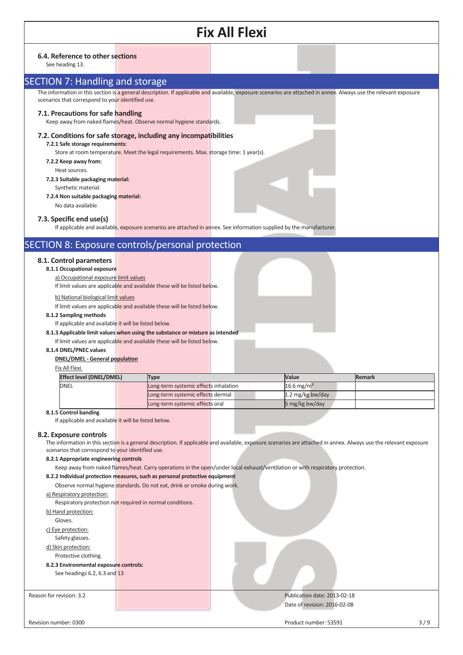|                          |                                                                                    |  |                                                                                       | <b>Fix All Flexi</b>                                                                                                 |                                                                                                                                                                   |                                                                                                                                                                   |
|--------------------------|------------------------------------------------------------------------------------|--|---------------------------------------------------------------------------------------|----------------------------------------------------------------------------------------------------------------------|-------------------------------------------------------------------------------------------------------------------------------------------------------------------|-------------------------------------------------------------------------------------------------------------------------------------------------------------------|
|                          | 6.4. Reference to other sections<br>See heading 13.                                |  |                                                                                       |                                                                                                                      |                                                                                                                                                                   |                                                                                                                                                                   |
|                          | <b>SECTION 7: Handling and storage</b>                                             |  |                                                                                       |                                                                                                                      |                                                                                                                                                                   |                                                                                                                                                                   |
|                          | scenarios that correspond to your identified use.                                  |  |                                                                                       |                                                                                                                      | The information in this section is a general description. If applicable and available, exposure scenarios are attached in annex. Always use the relevant exposure |                                                                                                                                                                   |
|                          | 7.1. Precautions for safe handling                                                 |  | Keep away from naked flames/heat. Observe normal hygiene standards.                   |                                                                                                                      |                                                                                                                                                                   |                                                                                                                                                                   |
|                          | 7.2.1 Safe storage requirements:                                                   |  | 7.2. Conditions for safe storage, including any incompatibilities                     |                                                                                                                      |                                                                                                                                                                   |                                                                                                                                                                   |
|                          | 7.2.2 Keep away from:                                                              |  | Store at room temperature. Meet the legal requirements. Max. storage time: 1 year(s). |                                                                                                                      |                                                                                                                                                                   |                                                                                                                                                                   |
|                          | Heat sources.<br>7.2.3 Suitable packaging material:                                |  |                                                                                       |                                                                                                                      |                                                                                                                                                                   |                                                                                                                                                                   |
|                          | Synthetic material.<br>7.2.4 Non suitable packaging material:<br>No data available |  |                                                                                       |                                                                                                                      |                                                                                                                                                                   |                                                                                                                                                                   |
|                          | 7.3. Specific end use(s)                                                           |  |                                                                                       | If applicable and available, exposure scenarios are attached in annex. See information supplied by the manufacturer. |                                                                                                                                                                   |                                                                                                                                                                   |
|                          |                                                                                    |  |                                                                                       |                                                                                                                      |                                                                                                                                                                   |                                                                                                                                                                   |
|                          |                                                                                    |  | SECTION 8: Exposure controls/personal protection                                      |                                                                                                                      |                                                                                                                                                                   |                                                                                                                                                                   |
|                          | 8.1. Control parameters<br>8.1.1 Occupational exposure                             |  |                                                                                       |                                                                                                                      |                                                                                                                                                                   |                                                                                                                                                                   |
|                          | a) Occupational exposure limit values                                              |  | If limit values are applicable and available these will be listed below.              |                                                                                                                      |                                                                                                                                                                   |                                                                                                                                                                   |
|                          | b) National biological limit values                                                |  | If limit values are applicable and available these will be listed below.              |                                                                                                                      |                                                                                                                                                                   |                                                                                                                                                                   |
|                          | 8.1.2 Sampling methods                                                             |  |                                                                                       |                                                                                                                      |                                                                                                                                                                   |                                                                                                                                                                   |
|                          | If applicable and available it will be listed below.                               |  |                                                                                       |                                                                                                                      |                                                                                                                                                                   |                                                                                                                                                                   |
|                          |                                                                                    |  | 8.1.3 Applicable limit values when using the substance or mixture as intended         |                                                                                                                      |                                                                                                                                                                   |                                                                                                                                                                   |
|                          | 8.1.4 DNEL/PNEC values                                                             |  | If limit values are applicable and available these will be listed below.              |                                                                                                                      |                                                                                                                                                                   |                                                                                                                                                                   |
|                          | <b>DNEL/DMEL - General population</b>                                              |  |                                                                                       |                                                                                                                      |                                                                                                                                                                   |                                                                                                                                                                   |
|                          | Fix All Flexi                                                                      |  |                                                                                       |                                                                                                                      |                                                                                                                                                                   |                                                                                                                                                                   |
|                          | <b>Effect level (DNEL/DMEL)</b>                                                    |  | <b>Type</b>                                                                           |                                                                                                                      | Value                                                                                                                                                             | <b>Remark</b>                                                                                                                                                     |
|                          | <b>DNEL</b>                                                                        |  | Long-term systemic effects inhalation                                                 |                                                                                                                      | 16.6 mg/m <sup>3</sup>                                                                                                                                            |                                                                                                                                                                   |
|                          |                                                                                    |  | Long-term systemic effects dermal                                                     |                                                                                                                      | 1.2 mg/kg bw/day                                                                                                                                                  |                                                                                                                                                                   |
|                          | 8.1.5 Control banding                                                              |  | Long-term systemic effects oral                                                       |                                                                                                                      | 5 mg/kg bw/day                                                                                                                                                    |                                                                                                                                                                   |
|                          | If applicable and available it will be listed below.                               |  |                                                                                       |                                                                                                                      |                                                                                                                                                                   |                                                                                                                                                                   |
|                          | 8.2. Exposure controls                                                             |  |                                                                                       |                                                                                                                      |                                                                                                                                                                   |                                                                                                                                                                   |
|                          | scenarios that correspond to your identified use.                                  |  |                                                                                       |                                                                                                                      |                                                                                                                                                                   | The information in this section is a general description. If applicable and available, exposure scenarios are attached in annex. Always use the relevant exposure |
|                          | 8.2.1 Appropriate engineering controls                                             |  |                                                                                       |                                                                                                                      |                                                                                                                                                                   |                                                                                                                                                                   |
|                          |                                                                                    |  |                                                                                       |                                                                                                                      | Keep away from naked flames/heat. Carry operations in the open/under local exhaust/ventilation or with respiratory protection.                                    |                                                                                                                                                                   |
|                          |                                                                                    |  | 8.2.2 Individual protection measures, such as personal protective equipment           |                                                                                                                      |                                                                                                                                                                   |                                                                                                                                                                   |
|                          |                                                                                    |  | Observe normal hygiene standards. Do not eat, drink or smoke during work.             |                                                                                                                      |                                                                                                                                                                   |                                                                                                                                                                   |
|                          | a) Respiratory protection:                                                         |  |                                                                                       |                                                                                                                      |                                                                                                                                                                   |                                                                                                                                                                   |
|                          | Respiratory protection not required in normal conditions.<br>b) Hand protection:   |  |                                                                                       |                                                                                                                      |                                                                                                                                                                   |                                                                                                                                                                   |
|                          | Gloves.                                                                            |  |                                                                                       |                                                                                                                      |                                                                                                                                                                   |                                                                                                                                                                   |
|                          | c) Eye protection:                                                                 |  |                                                                                       |                                                                                                                      |                                                                                                                                                                   |                                                                                                                                                                   |
|                          | Safety glasses.                                                                    |  |                                                                                       |                                                                                                                      |                                                                                                                                                                   |                                                                                                                                                                   |
|                          | d) Skin protection:                                                                |  |                                                                                       |                                                                                                                      |                                                                                                                                                                   |                                                                                                                                                                   |
|                          | Protective clothing.<br>8.2.3 Environmental exposure controls:                     |  |                                                                                       |                                                                                                                      |                                                                                                                                                                   |                                                                                                                                                                   |
|                          | See headings 6.2, 6.3 and 13                                                       |  |                                                                                       |                                                                                                                      |                                                                                                                                                                   |                                                                                                                                                                   |
|                          |                                                                                    |  |                                                                                       |                                                                                                                      |                                                                                                                                                                   |                                                                                                                                                                   |
| Reason for revision: 3.2 |                                                                                    |  |                                                                                       |                                                                                                                      | Publication date: 2013-02-18                                                                                                                                      |                                                                                                                                                                   |
|                          |                                                                                    |  |                                                                                       |                                                                                                                      | Date of revision: 2016-02-08                                                                                                                                      |                                                                                                                                                                   |
|                          |                                                                                    |  |                                                                                       |                                                                                                                      |                                                                                                                                                                   |                                                                                                                                                                   |
| Revision number: 0300    |                                                                                    |  |                                                                                       |                                                                                                                      | Product number: 53591                                                                                                                                             | 3/9                                                                                                                                                               |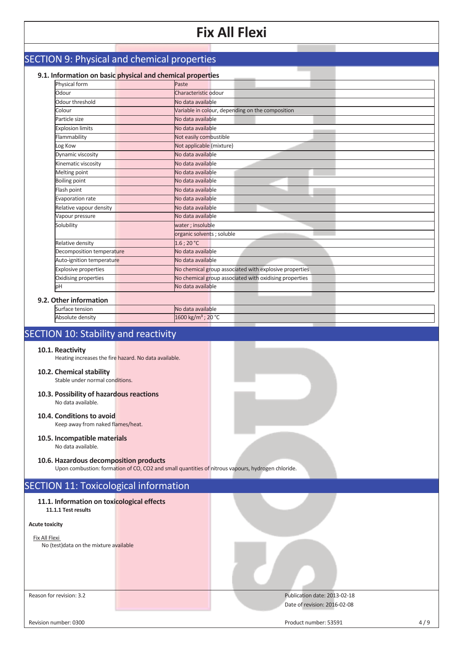|                                                                   |                                                                                                   | 17 LII 11671                                           |  |  |  |  |
|-------------------------------------------------------------------|---------------------------------------------------------------------------------------------------|--------------------------------------------------------|--|--|--|--|
|                                                                   |                                                                                                   |                                                        |  |  |  |  |
| <b>SECTION 9: Physical and chemical properties</b>                |                                                                                                   |                                                        |  |  |  |  |
|                                                                   |                                                                                                   |                                                        |  |  |  |  |
| Physical form                                                     | 9.1. Information on basic physical and chemical properties<br>Paste                               |                                                        |  |  |  |  |
| Odour                                                             | Characteristic odour                                                                              |                                                        |  |  |  |  |
| Odour threshold                                                   | No data available                                                                                 |                                                        |  |  |  |  |
| Colour                                                            |                                                                                                   | Variable in colour, depending on the composition       |  |  |  |  |
| Particle size                                                     | No data available                                                                                 |                                                        |  |  |  |  |
| <b>Explosion limits</b>                                           | No data available                                                                                 |                                                        |  |  |  |  |
| Flammability                                                      |                                                                                                   |                                                        |  |  |  |  |
| Log Kow                                                           |                                                                                                   | Not easily combustible<br>Not applicable (mixture)     |  |  |  |  |
| Dynamic viscosity                                                 | No data available                                                                                 |                                                        |  |  |  |  |
| Kinematic viscosity                                               | No data available                                                                                 |                                                        |  |  |  |  |
| Melting point                                                     | No data available                                                                                 |                                                        |  |  |  |  |
| <b>Boiling point</b>                                              | No data available                                                                                 |                                                        |  |  |  |  |
| Flash point                                                       | No data available                                                                                 |                                                        |  |  |  |  |
| Evaporation rate                                                  | No data available                                                                                 |                                                        |  |  |  |  |
| Relative vapour density                                           | No data available                                                                                 |                                                        |  |  |  |  |
| Vapour pressure                                                   | No data available                                                                                 |                                                        |  |  |  |  |
| Solubility                                                        | water; insoluble                                                                                  |                                                        |  |  |  |  |
|                                                                   | organic solvents ; soluble                                                                        |                                                        |  |  |  |  |
| Relative density                                                  | $1.6$ ; 20 °C                                                                                     |                                                        |  |  |  |  |
| Decomposition temperature                                         | No data available                                                                                 |                                                        |  |  |  |  |
| Auto-ignition temperature                                         | No data available                                                                                 |                                                        |  |  |  |  |
| <b>Explosive properties</b>                                       |                                                                                                   | No chemical group associated with explosive properties |  |  |  |  |
| Oxidising properties                                              |                                                                                                   | No chemical group associated with oxidising properties |  |  |  |  |
| рH                                                                | No data available                                                                                 |                                                        |  |  |  |  |
| 9.2. Other information                                            |                                                                                                   |                                                        |  |  |  |  |
| Surface tension                                                   | No data available                                                                                 |                                                        |  |  |  |  |
| Absolute density                                                  | 1600 kg/m <sup>3</sup> ; 20 °C                                                                    |                                                        |  |  |  |  |
|                                                                   |                                                                                                   |                                                        |  |  |  |  |
| SECTION 10: Stability and reactivity                              |                                                                                                   |                                                        |  |  |  |  |
|                                                                   |                                                                                                   |                                                        |  |  |  |  |
| 10.1. Reactivity                                                  |                                                                                                   |                                                        |  |  |  |  |
| Heating increases the fire hazard. No data available.             |                                                                                                   |                                                        |  |  |  |  |
| 10.2. Chemical stability                                          |                                                                                                   |                                                        |  |  |  |  |
| Stable under normal conditions.                                   |                                                                                                   |                                                        |  |  |  |  |
|                                                                   |                                                                                                   |                                                        |  |  |  |  |
| 10.3. Possibility of hazardous reactions                          |                                                                                                   |                                                        |  |  |  |  |
| No data available.                                                |                                                                                                   |                                                        |  |  |  |  |
| 10.4. Conditions to avoid                                         |                                                                                                   |                                                        |  |  |  |  |
| Keep away from naked flames/heat.                                 |                                                                                                   |                                                        |  |  |  |  |
|                                                                   |                                                                                                   |                                                        |  |  |  |  |
| 10.5. Incompatible materials<br>No data available.                |                                                                                                   |                                                        |  |  |  |  |
|                                                                   |                                                                                                   |                                                        |  |  |  |  |
| 10.6. Hazardous decomposition products                            |                                                                                                   |                                                        |  |  |  |  |
|                                                                   | Upon combustion: formation of CO, CO2 and small quantities of nitrous vapours, hydrogen chloride. |                                                        |  |  |  |  |
|                                                                   |                                                                                                   |                                                        |  |  |  |  |
| <b>SECTION 11: Toxicological information</b>                      |                                                                                                   |                                                        |  |  |  |  |
|                                                                   |                                                                                                   |                                                        |  |  |  |  |
| 11.1. Information on toxicological effects<br>11.1.1 Test results |                                                                                                   |                                                        |  |  |  |  |
|                                                                   |                                                                                                   |                                                        |  |  |  |  |
| <b>Acute toxicity</b>                                             |                                                                                                   |                                                        |  |  |  |  |
|                                                                   |                                                                                                   |                                                        |  |  |  |  |
| Fix All Flexi<br>No (test) data on the mixture available          |                                                                                                   |                                                        |  |  |  |  |
|                                                                   |                                                                                                   |                                                        |  |  |  |  |
|                                                                   |                                                                                                   |                                                        |  |  |  |  |
|                                                                   |                                                                                                   |                                                        |  |  |  |  |
|                                                                   |                                                                                                   |                                                        |  |  |  |  |
|                                                                   |                                                                                                   |                                                        |  |  |  |  |
|                                                                   |                                                                                                   |                                                        |  |  |  |  |
| Reason for revision: 3.2                                          |                                                                                                   | Publication date: 2013-02-18                           |  |  |  |  |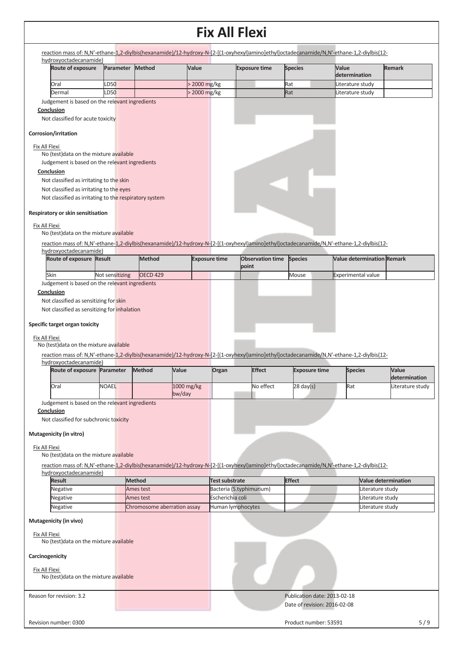| <b>Route of exposure</b>                                 | Parameter       | Method                      |            | Value                | <b>Exposure time</b>             | <b>Species</b>               | Value<br>determination                                                                                                                    | <b>Remark</b>                     |
|----------------------------------------------------------|-----------------|-----------------------------|------------|----------------------|----------------------------------|------------------------------|-------------------------------------------------------------------------------------------------------------------------------------------|-----------------------------------|
| Oral                                                     | LD50            |                             |            | > 2000 mg/kg         |                                  | Rat                          | Literature study                                                                                                                          |                                   |
| Dermal                                                   | LD50            |                             |            | > 2000 mg/kg         |                                  | Rat                          | Literature study                                                                                                                          |                                   |
| Judgement is based on the relevant ingredients           |                 |                             |            |                      |                                  |                              |                                                                                                                                           |                                   |
| Conclusion                                               |                 |                             |            |                      |                                  |                              |                                                                                                                                           |                                   |
| Not classified for acute toxicity                        |                 |                             |            |                      |                                  |                              |                                                                                                                                           |                                   |
| Corrosion/irritation                                     |                 |                             |            |                      |                                  |                              |                                                                                                                                           |                                   |
| Fix All Flexi                                            |                 |                             |            |                      |                                  |                              |                                                                                                                                           |                                   |
| No (test) data on the mixture available                  |                 |                             |            |                      |                                  |                              |                                                                                                                                           |                                   |
| Judgement is based on the relevant ingredients           |                 |                             |            |                      |                                  |                              |                                                                                                                                           |                                   |
| Conclusion                                               |                 |                             |            |                      |                                  |                              |                                                                                                                                           |                                   |
| Not classified as irritating to the skin                 |                 |                             |            |                      |                                  |                              |                                                                                                                                           |                                   |
| Not classified as irritating to the eyes                 |                 |                             |            |                      |                                  |                              |                                                                                                                                           |                                   |
| Not classified as irritating to the respiratory system   |                 |                             |            |                      |                                  |                              |                                                                                                                                           |                                   |
| Respiratory or skin sensitisation                        |                 |                             |            |                      |                                  |                              |                                                                                                                                           |                                   |
|                                                          |                 |                             |            |                      |                                  |                              |                                                                                                                                           |                                   |
| Fix All Flexi                                            |                 |                             |            |                      |                                  |                              |                                                                                                                                           |                                   |
| No (test) data on the mixture available                  |                 |                             |            |                      |                                  |                              |                                                                                                                                           |                                   |
|                                                          |                 |                             |            |                      |                                  |                              | reaction mass of: N,N'-ethane-1,2-diylbis(hexanamide)/12-hydroxy-N-[2-[(1-oxyhexyl)amino]ethyl]octadecanamide/N,N'-ethane-1,2-diylbis(12- |                                   |
| hydroxyoctadecanamide)                                   |                 |                             |            |                      |                                  |                              |                                                                                                                                           |                                   |
| Route of exposure Result                                 |                 | <b>Method</b>               |            | <b>Exposure time</b> | <b>Observation time</b><br>point | <b>Species</b>               | <b>Value determination Remark</b>                                                                                                         |                                   |
|                                                          |                 | <b>OECD 429</b>             |            |                      |                                  |                              |                                                                                                                                           |                                   |
| Skin                                                     | Not sensitizing |                             |            |                      |                                  | Mouse                        | <b>Experimental value</b>                                                                                                                 |                                   |
| Judgement is based on the relevant ingredients           |                 |                             |            |                      |                                  |                              |                                                                                                                                           |                                   |
| Conclusion                                               |                 |                             |            |                      |                                  |                              |                                                                                                                                           |                                   |
| Not classified as sensitizing for skin                   |                 |                             |            |                      |                                  |                              |                                                                                                                                           |                                   |
| Not classified as sensitizing for inhalation             |                 |                             |            |                      |                                  |                              |                                                                                                                                           |                                   |
|                                                          |                 |                             |            |                      |                                  |                              |                                                                                                                                           |                                   |
| Specific target organ toxicity                           |                 |                             |            |                      |                                  |                              |                                                                                                                                           |                                   |
|                                                          |                 |                             |            |                      |                                  |                              |                                                                                                                                           |                                   |
|                                                          |                 |                             |            |                      |                                  |                              |                                                                                                                                           |                                   |
| Fix All Flexi<br>No (test) data on the mixture available |                 |                             |            |                      |                                  |                              |                                                                                                                                           |                                   |
|                                                          |                 |                             |            |                      |                                  |                              |                                                                                                                                           |                                   |
| hydroxyoctadecanamide)                                   |                 |                             |            |                      |                                  |                              | reaction mass of: N,N'-ethane-1,2-diylbis(hexanamide)/12-hydroxy-N-[2-[(1-oxyhexyl)amino]ethyl]octadecanamide/N,N'-ethane-1,2-diylbis(12- |                                   |
| Route of exposure Parameter                              |                 | Method                      | Value      | Organ                | <b>Effect</b>                    | <b>Exposure time</b>         | <b>Species</b>                                                                                                                            | Value                             |
| Oral                                                     | <b>NOAEL</b>    |                             | 1000 mg/kg |                      | No effect                        | $28 \text{ day}(s)$          | Rat                                                                                                                                       | determination<br>Literature study |
|                                                          |                 |                             | bw/day     |                      |                                  |                              |                                                                                                                                           |                                   |
| Judgement is based on the relevant ingredients           |                 |                             |            |                      |                                  |                              |                                                                                                                                           |                                   |
| Conclusion                                               |                 |                             |            |                      |                                  |                              |                                                                                                                                           |                                   |
| Not classified for subchronic toxicity                   |                 |                             |            |                      |                                  |                              |                                                                                                                                           |                                   |
|                                                          |                 |                             |            |                      |                                  |                              |                                                                                                                                           |                                   |
| Mutagenicity (in vitro)                                  |                 |                             |            |                      |                                  |                              |                                                                                                                                           |                                   |
|                                                          |                 |                             |            |                      |                                  |                              |                                                                                                                                           |                                   |
| Fix All Flexi                                            |                 |                             |            |                      |                                  |                              |                                                                                                                                           |                                   |
| No (test) data on the mixture available                  |                 |                             |            |                      |                                  |                              |                                                                                                                                           |                                   |
|                                                          |                 |                             |            |                      |                                  |                              | reaction mass of: N,N'-ethane-1,2-diylbis(hexanamide)/12-hydroxy-N-[2-[(1-oxyhexyl)amino]ethyl]octadecanamide/N,N'-ethane-1,2-diylbis(12- |                                   |
| hydroxyoctadecanamide)                                   |                 |                             |            |                      |                                  |                              |                                                                                                                                           |                                   |
| <b>Result</b>                                            |                 | <b>Method</b>               |            |                      | <b>Test substrate</b>            | <b>Effect</b>                |                                                                                                                                           | <b>Value determination</b>        |
| Negative                                                 |                 | Ames test                   |            |                      | Bacteria (S.typhimurium)         |                              |                                                                                                                                           | Literature study                  |
| Negative                                                 |                 | Ames test                   |            |                      | Escherichia coli                 |                              |                                                                                                                                           | Literature study                  |
| Negative                                                 |                 | Chromosome aberration assay |            |                      | Human lymphocytes                |                              |                                                                                                                                           | Literature study                  |
|                                                          |                 |                             |            |                      |                                  |                              |                                                                                                                                           |                                   |
| Mutagenicity (in vivo)                                   |                 |                             |            |                      |                                  |                              |                                                                                                                                           |                                   |
| Fix All Flexi                                            |                 |                             |            |                      |                                  |                              |                                                                                                                                           |                                   |
| No (test) data on the mixture available                  |                 |                             |            |                      |                                  |                              |                                                                                                                                           |                                   |
|                                                          |                 |                             |            |                      |                                  |                              |                                                                                                                                           |                                   |
| Carcinogenicity                                          |                 |                             |            |                      |                                  |                              |                                                                                                                                           |                                   |
|                                                          |                 |                             |            |                      |                                  |                              |                                                                                                                                           |                                   |
| Fix All Flexi<br>No (test) data on the mixture available |                 |                             |            |                      |                                  |                              |                                                                                                                                           |                                   |
|                                                          |                 |                             |            |                      |                                  |                              |                                                                                                                                           |                                   |
|                                                          |                 |                             |            |                      |                                  |                              |                                                                                                                                           |                                   |
| Reason for revision: 3.2                                 |                 |                             |            |                      |                                  | Publication date: 2013-02-18 |                                                                                                                                           |                                   |
|                                                          |                 |                             |            |                      |                                  | Date of revision: 2016-02-08 |                                                                                                                                           |                                   |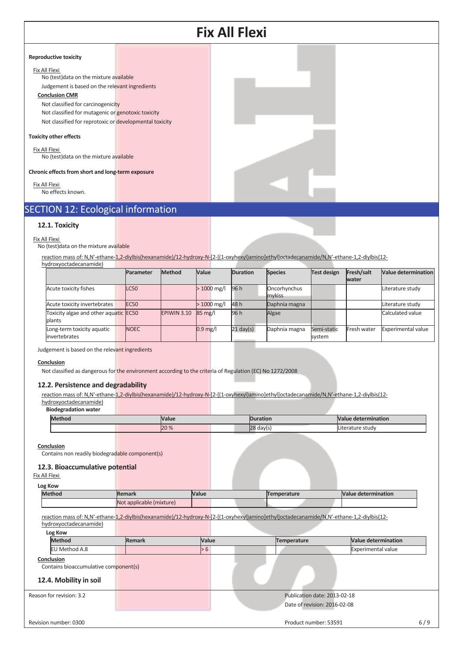

#### No (test)data on the mixture available

reaction mass of: N,N'-ethane-1,2-diylbis(hexanamide)/12-hydroxy-N-[2-[(1-oxyhexyl)amino]ethyl]octadecanamide/N,N'-ethane-1,2-diylbis(12-

|                                                    | Parameter        | Method      | Value             | <b>Duration</b>     | <b>Species</b>         | Test design           | Fresh/salt<br>water | Value determination       |
|----------------------------------------------------|------------------|-------------|-------------------|---------------------|------------------------|-----------------------|---------------------|---------------------------|
| Acute toxicity fishes                              | LC50             |             | $>1000$ mg/l      | 96 h                | Oncorhynchus<br>mykiss |                       |                     | Literature study          |
| Acute toxicity invertebrates                       | EC <sub>50</sub> |             | $>1000$ mg/l      | 48 h                | Daphnia magna          |                       |                     | Literature study          |
| Toxicity algae and other aquatic EC50<br>plants    |                  | EPIWIN 3.10 | $85 \text{ mg}$ / | 96 h                | Algae                  |                       |                     | Calculated value          |
| Long-term toxicity aquatic<br><i>invertebrates</i> | <b>NOEC</b>      |             | $0.9$ mg/l        | $21 \text{ day(s)}$ | Daphnia magna          | Semi-static<br>system | Fresh water         | <b>Experimental value</b> |

Judgement is based on the relevant ingredients

#### **Conclusion**

Not classified as dangerous for the environment according to the criteria of Regulation (EC) No 1272/2008

#### **12.2. Persistence and degradability**

reaction mass of: N,N'-ethane-1,2-diylbis(hexanamide)/12-hydroxy-N-[2-[(1-oxyhexyl)amino]ethyl]octadecanamide/N,N'-ethane-1,2-diylbis(12 hydroxyoctadecanamide)

**Biodegradation water**

| <b>Methon</b> | <b>Value</b> | ratior            | Nalue determination    |
|---------------|--------------|-------------------|------------------------|
|               | 20 %         | loo<br>davls<br>ັ | rature studv<br>∟iter′ |

#### **Conclusion**

Contains non readily biodegradable component(s)

#### **12.3. Bioaccumulative potential**

| Log Kow                                             |                          |       |                                                                                                                                           |                            |
|-----------------------------------------------------|--------------------------|-------|-------------------------------------------------------------------------------------------------------------------------------------------|----------------------------|
| <b>Method</b>                                       | <b>Remark</b>            | Value | Temperature                                                                                                                               | <b>Value determination</b> |
|                                                     | Not applicable (mixture) |       |                                                                                                                                           |                            |
|                                                     |                          |       | reaction mass of: N,N'-ethane-1,2-diylbis(hexanamide)/12-hydroxy-N-[2-[(1-oxyhexyl)amino]ethyl]octadecanamide/N,N'-ethane-1,2-diylbis(12- |                            |
| hydroxyoctadecanamide)                              |                          |       |                                                                                                                                           |                            |
| Log Kow                                             |                          |       |                                                                                                                                           |                            |
| <b>Method</b>                                       | <b>Remark</b>            | Value | Temperature                                                                                                                               | <b>Value determination</b> |
| EU Method A.8                                       |                          | > 6   |                                                                                                                                           | <b>Experimental value</b>  |
| Conclusion<br>Contains bioaccumulative component(s) |                          |       |                                                                                                                                           |                            |
| 12.4. Mobility in soil<br>Reason for revision: 3.2  |                          |       | Publication date: 2013-02-18                                                                                                              |                            |
|                                                     |                          |       | Date of revision: 2016-02-08                                                                                                              |                            |
| Revision number: 0300                               |                          |       | Product number: 53591                                                                                                                     |                            |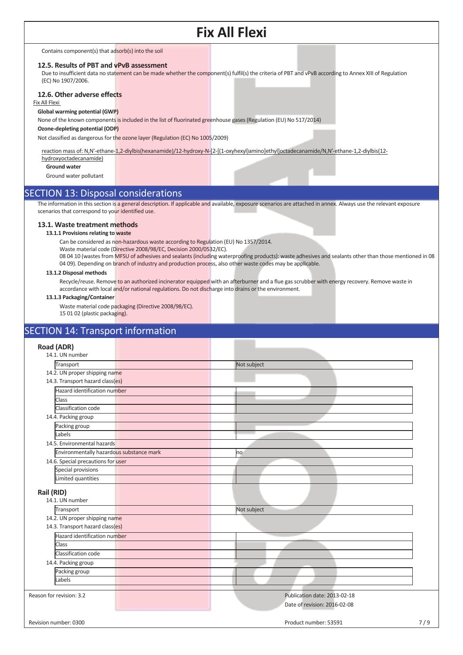#### Contains component(s) that adsorb(s) into the soil

#### **12.5. Results of PBT and vPvB assessment**

Due to insufficient data no statement can be made whether the component(s) fulfil(s) the criteria of PBT and vPvB according to Annex XIII of Regulation (EC) No 1907/2006.

#### **12.6. Other adverse effects**

Fix All Flexi

#### **Global warming potential (GWP)**

None of the known components is included in the list of fluorinated greenhouse gases (Regulation (EU) No 517/2014)

#### **Ozone-depleting potential (ODP)**

Not classified as dangerous for the ozone layer (Regulation (EC) No 1005/2009)

reaction mass of: N,N'-ethane-1,2-diylbis(hexanamide)/12-hydroxy-N-[2-[(1-oxyhexyl)amino]ethyl]octadecanamide/N,N'-ethane-1,2-diylbis(12 hydroxyoctadecanamide)

### **Ground water**

Ground water pollutant

### SECTION 13: Disposal considerations

The information in this section is a general description. If applicable and available, exposure scenarios are attached in annex. Always use the relevant exposure scenarios that correspond to your identified use.

#### **13.1. Waste treatment methods**

#### **13.1.1 Provisions relating to waste**

Can be considered as non-hazardous waste according to Regulation (EU) No 1357/2014.

Waste material code (Directive 2008/98/EC, Decision 2000/0532/EC).

08 04 10 (wastes from MFSU of adhesives and sealants (including waterproofing products): waste adhesives and sealants other than those mentioned in 08 04 09). Depending on branch of industry and production process, also other waste codes may be applicable.

#### **13.1.2 Disposal methods**

Recycle/reuse. Remove to an authorized incinerator equipped with an afterburner and a flue gas scrubber with energy recovery. Remove waste in accordance with local and/or national regulations. Do not discharge into drains or the environment.

#### **13.1.3 Packaging/Container**

Waste material code packaging (Directive 2008/98/EC). 15 01 02 (plastic packaging).

### SECTION 14: Transport information

#### **Road (ADR)**

| noau (ADN)                               |                              |     |
|------------------------------------------|------------------------------|-----|
| 14.1. UN number                          |                              |     |
| Transport                                | Not subject                  |     |
| 14.2. UN proper shipping name            |                              |     |
| 14.3. Transport hazard class(es)         |                              |     |
| Hazard identification number             |                              |     |
| <b>Class</b>                             |                              |     |
| Classification code                      |                              |     |
| 14.4. Packing group                      |                              |     |
| Packing group                            |                              |     |
| Labels                                   |                              |     |
| 14.5. Environmental hazards              |                              |     |
| Environmentally hazardous substance mark | no                           |     |
| 14.6. Special precautions for user       |                              |     |
| Special provisions                       |                              |     |
| Limited quantities                       |                              |     |
| Rail (RID)                               |                              |     |
| 14.1. UN number                          |                              |     |
| Transport                                | Not subject                  |     |
| 14.2. UN proper shipping name            |                              |     |
| 14.3. Transport hazard class(es)         |                              |     |
| Hazard identification number             |                              |     |
| <b>Class</b>                             |                              |     |
| Classification code                      |                              |     |
| 14.4. Packing group                      |                              |     |
| Packing group                            |                              |     |
| Labels                                   |                              |     |
|                                          |                              |     |
| Reason for revision: 3.2                 | Publication date: 2013-02-18 |     |
|                                          | Date of revision: 2016-02-08 |     |
|                                          |                              |     |
| Revision number: 0300                    | Product number: 53591        | 7/9 |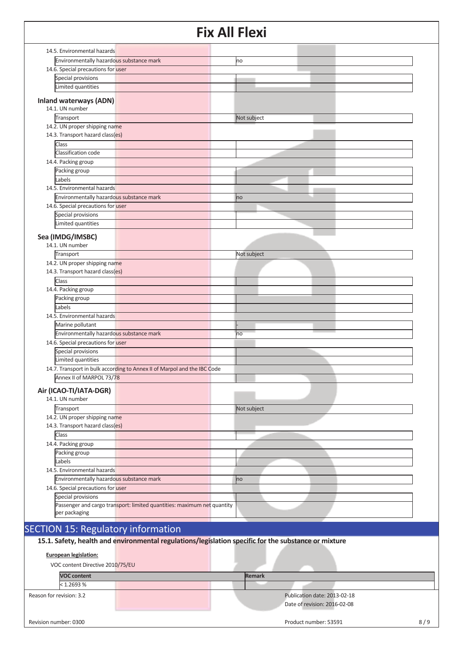|                                                                                          | <b>Fix All Flexi</b>                                                                                 |
|------------------------------------------------------------------------------------------|------------------------------------------------------------------------------------------------------|
| 14.5. Environmental hazards                                                              |                                                                                                      |
| Environmentally hazardous substance mark                                                 | no                                                                                                   |
| 14.6. Special precautions for user                                                       |                                                                                                      |
| Special provisions                                                                       |                                                                                                      |
| Limited quantities                                                                       |                                                                                                      |
| <b>Inland waterways (ADN)</b><br>14.1. UN number                                         |                                                                                                      |
| Transport                                                                                | Not subject                                                                                          |
| 14.2. UN proper shipping name<br>14.3. Transport hazard class(es)                        |                                                                                                      |
| Class                                                                                    |                                                                                                      |
| Classification code                                                                      |                                                                                                      |
| 14.4. Packing group                                                                      |                                                                                                      |
| Packing group                                                                            |                                                                                                      |
| Labels                                                                                   |                                                                                                      |
| 14.5. Environmental hazards                                                              |                                                                                                      |
| Environmentally hazardous substance mark                                                 | no                                                                                                   |
| 14.6. Special precautions for user                                                       |                                                                                                      |
| Special provisions                                                                       |                                                                                                      |
| Limited quantities                                                                       |                                                                                                      |
|                                                                                          |                                                                                                      |
| Sea (IMDG/IMSBC)<br>14.1. UN number                                                      |                                                                                                      |
| Transport                                                                                | Not subject                                                                                          |
| 14.2. UN proper shipping name                                                            |                                                                                                      |
| 14.3. Transport hazard class(es)                                                         |                                                                                                      |
| Class                                                                                    |                                                                                                      |
| 14.4. Packing group                                                                      |                                                                                                      |
| Packing group                                                                            |                                                                                                      |
| Labels                                                                                   |                                                                                                      |
| 14.5. Environmental hazards                                                              |                                                                                                      |
| Marine pollutant                                                                         |                                                                                                      |
| Environmentally hazardous substance mark                                                 | no                                                                                                   |
| 14.6. Special precautions for user                                                       |                                                                                                      |
| Special provisions                                                                       |                                                                                                      |
| Limited quantities                                                                       |                                                                                                      |
| 14.7. Transport in bulk according to Annex II of Marpol and the IBC Code                 |                                                                                                      |
| Annex II of MARPOL 73/78                                                                 |                                                                                                      |
| Air (ICAO-TI/IATA-DGR)<br>14.1. UN number                                                |                                                                                                      |
| Transport                                                                                | Not subject                                                                                          |
| 14.2. UN proper shipping name                                                            |                                                                                                      |
| 14.3. Transport hazard class(es)                                                         |                                                                                                      |
| Class                                                                                    |                                                                                                      |
| 14.4. Packing group                                                                      |                                                                                                      |
| Packing group                                                                            |                                                                                                      |
| Labels                                                                                   |                                                                                                      |
| 14.5. Environmental hazards                                                              |                                                                                                      |
|                                                                                          |                                                                                                      |
| Environmentally hazardous substance mark                                                 | no                                                                                                   |
| 14.6. Special precautions for user                                                       |                                                                                                      |
| Special provisions                                                                       |                                                                                                      |
| Passenger and cargo transport: limited quantities: maximum net quantity<br>per packaging |                                                                                                      |
| <b>SECTION 15: Regulatory information</b>                                                |                                                                                                      |
|                                                                                          | 15.1. Safety, health and environmental regulations/legislation specific for the substance or mixture |
|                                                                                          |                                                                                                      |
| <b>European legislation:</b>                                                             |                                                                                                      |

VOC content Directive 2010/75/EU

|                          | <b>VOC content</b> |  | <b>Remark</b>                                                |     |
|--------------------------|--------------------|--|--------------------------------------------------------------|-----|
|                          | < 1.2693 %         |  |                                                              |     |
| Reason for revision: 3.2 |                    |  | Publication date: 2013-02-18<br>Date of revision: 2016-02-08 |     |
| Revision number: 0300    |                    |  | Product number: 53591                                        | 8/9 |